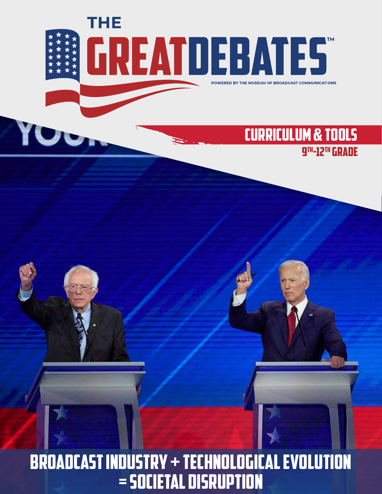THE **GREATDEBATES** POWERED BY THE MUSEUM OF BROADCAST COMMUNICATIONS

# CURRICULUM & TOOLS 9th-12th Grade

# Broadcast Industry + Technological Evolution = Societal Disruption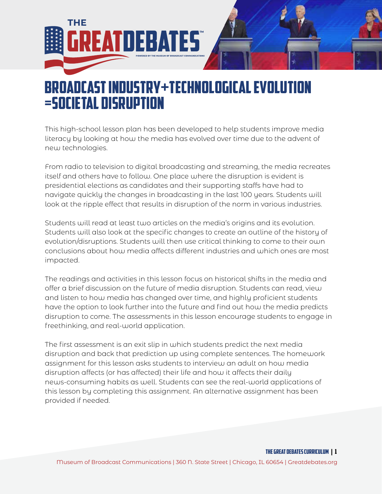

# Broadcast Industry+Technological Evolution =Societal Disruption

This high-school lesson plan has been developed to help students improve media literacy by looking at how the media has evolved over time due to the advent of new technologies.

From radio to television to digital broadcasting and streaming, the media recreates itself and others have to follow. One place where the disruption is evident is presidential elections as candidates and their supporting staffs have had to navigate quickly the changes in broadcasting in the last 100 years. Students will look at the ripple effect that results in disruption of the norm in various industries.

Students will read at least two articles on the media's origins and its evolution. Students will also look at the specific changes to create an outline of the history of evolution/disruptions. Students will then use critical thinking to come to their own conclusions about how media affects different industries and which ones are most impacted.

The readings and activities in this lesson focus on historical shifts in the media and offer a brief discussion on the future of media disruption. Students can read, view and listen to how media has changed over time, and highly proficient students have the option to look further into the future and find out how the media predicts disruption to come. The assessments in this lesson encourage students to engage in freethinking, and real-world application.

The first assessment is an exit slip in which students predict the next media disruption and back that prediction up using complete sentences. The homework assignment for this lesson asks students to interview an adult on how media disruption affects (or has affected) their life and how it affects their daily news-consuming habits as well. Students can see the real-world applications of this lesson by completing this assignment. An alternative assignment has been provided if needed.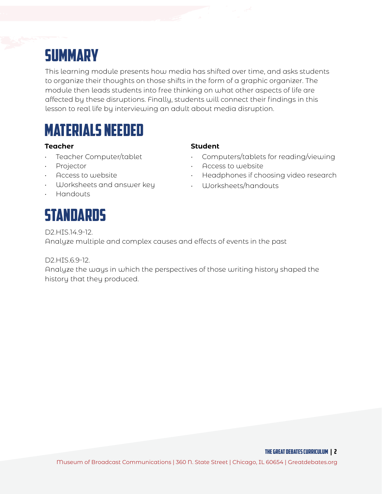# **SUMMARY**

This learning module presents how media has shifted over time, and asks students to organize their thoughts on those shifts in the form of a graphic organizer. The module then leads students into free thinking on what other aspects of life are affected by these disruptions. Finally, students will connect their findings in this lesson to real life by interviewing an adult about media disruption.

# MATERIALS NEEDED

## **Teacher Student**

- Teacher Computer/tablet
- Projector
- Access to website
- Worksheets and answer key
- Handouts

# **STANDARDS**

- Computers/tablets for reading/viewing
- Access to website
- Headphones if choosing video research
- Worksheets/handouts

D2.HIS.14.9-12.

Analyze multiple and complex causes and effects of events in the past

D2.HIS.6.9-12.

Analyze the ways in which the perspectives of those writing history shaped the history that they produced.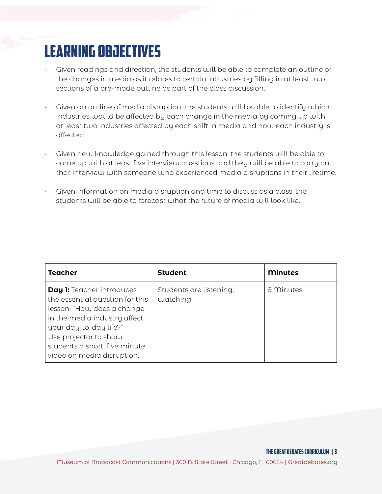# LEARNING OBJECTIVES

- Given readings and direction, the students will be able to complete an outline of the changes in media as it relates to certain industries by filling in at least two sections of a pre-made outline as part of the class discussion.
- Given an outline of media disruption, the students will be able to identify which industries would be affected by each change in the media by coming up with at least two industries affected by each shift in media and how each industry is affected.
- Given new knowledge gained through this lesson, the students will be able to come up with at least five interview questions and they will be able to carry out that interview with someone who experienced media disruptions in their lifetime.
- Given information on media disruption and time to discuss as a class, the students will be able to forecast what the future of media will look like.

| <b>Teacher</b>                                                                                                                                                                                                                                      | <b>Student</b>                       | <b>Minutes</b> |
|-----------------------------------------------------------------------------------------------------------------------------------------------------------------------------------------------------------------------------------------------------|--------------------------------------|----------------|
| <b>Day 1:</b> Teacher introduces<br>the essential question for this<br>lesson, "How does a change<br>in the media industry affect<br>your day-to-day life?"<br>Use projector to show<br>students a short, five minute<br>video on media disruption. | Students are listening,<br>watching. | 6 Minutes      |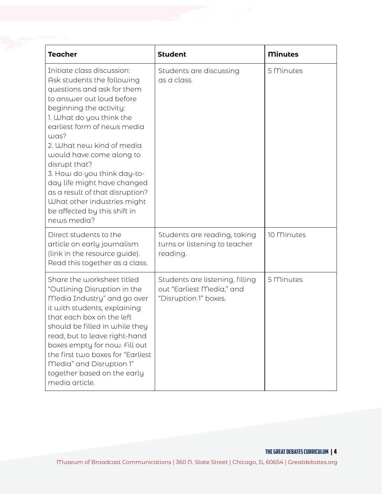| <b>Teacher</b>                                                                                                                                                                                                                                                                                                                                                                                                                                                             | <b>Student</b>                                                                        | <b>Minutes</b> |
|----------------------------------------------------------------------------------------------------------------------------------------------------------------------------------------------------------------------------------------------------------------------------------------------------------------------------------------------------------------------------------------------------------------------------------------------------------------------------|---------------------------------------------------------------------------------------|----------------|
| Initiate class discussion:<br>Ask students the following<br>questions and ask for them<br>to answer out loud before<br>beginning the activity:<br>1. What do you think the<br>earliest form of news media<br>was?<br>2. What new kind of media<br>would have come along to<br>disrupt that?<br>3. How do you think day-to-<br>day life might have changed<br>as a result of that disruption?<br>What other industries might<br>be affected by this shift in<br>news media? | Students are discussing<br>as a class.                                                | 5 Minutes      |
| Direct students to the<br>article on early journalism<br>(link in the resource guide).<br>Read this together as a class.                                                                                                                                                                                                                                                                                                                                                   | Students are reading, taking<br>turns or listening to teacher<br>reading.             | 10 Minutes     |
| Share the worksheet titled<br>"Outlining Disruption in the<br>Media Industry" and go over<br>it with students, explaining<br>that each box on the left<br>should be filled in while they<br>read, but to leave right-hand<br>boxes empty for now. Fill out<br>the first two boxes for "Earliest<br>Media" and Disruption 1"<br>together based on the early<br>media article.                                                                                               | Students are listening, filling<br>out "Earliest Media," and<br>"Disruption 1" boxes. | 5 Minutes      |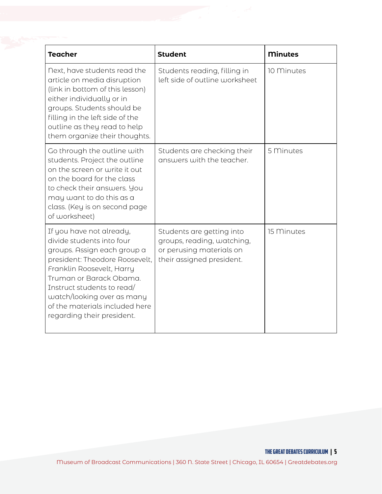| <b>Teacher</b>                                                                                                                                                                                                                                                                                             | <b>Student</b>                                                                                                   | <b>Minutes</b> |  |
|------------------------------------------------------------------------------------------------------------------------------------------------------------------------------------------------------------------------------------------------------------------------------------------------------------|------------------------------------------------------------------------------------------------------------------|----------------|--|
| Next, have students read the<br>article on media disruption<br>(link in bottom of this lesson)<br>either individually or in<br>groups. Students should be<br>filling in the left side of the<br>outline as they read to help<br>them organize their thoughts.                                              | Students reading, filling in<br>left side of outline worksheet                                                   | 10 Minutes     |  |
| Go through the outline with<br>students. Project the outline<br>on the screen or write it out<br>on the board for the class<br>to check their answers. You<br>may want to do this as a<br>class. (Key is on second page<br>of worksheet)                                                                   | Students are checking their<br>answers with the teacher.                                                         | 5 Minutes      |  |
| If you have not already,<br>divide students into four<br>groups. Assign each group a<br>president: Theodore Roosevelt,<br>Franklin Roosevelt, Harry<br>Truman or Barack Obama.<br>Instruct students to read/<br>watch/looking over as many<br>of the materials included here<br>regarding their president. | Students are getting into<br>groups, reading, watching,<br>or perusing materials on<br>their assigned president. | 15 Minutes     |  |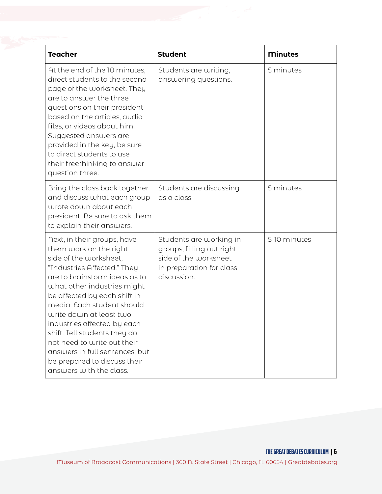| <b>Teacher</b>                                                                                                                                                                                                                                                                                                                                                                                                                                                     | <b>Student</b>                                                                                                           | <b>Minutes</b> |
|--------------------------------------------------------------------------------------------------------------------------------------------------------------------------------------------------------------------------------------------------------------------------------------------------------------------------------------------------------------------------------------------------------------------------------------------------------------------|--------------------------------------------------------------------------------------------------------------------------|----------------|
| At the end of the 10 minutes,<br>direct students to the second<br>page of the worksheet. They<br>are to answer the three<br>questions on their president<br>based on the articles, audio<br>files, or videos about him.<br>Suggested answers are<br>provided in the key, be sure<br>to direct students to use<br>their freethinking to answer<br>question three.                                                                                                   | Students are writing,<br>answering questions.                                                                            | 5 minutes      |
| Bring the class back together<br>and discuss what each group<br>wrote down about each<br>president. Be sure to ask them<br>to explain their answers.                                                                                                                                                                                                                                                                                                               | Students are discussing<br>as a class.                                                                                   | 5 minutes      |
| Next, in their groups, have<br>them work on the right<br>side of the worksheet,<br>"Industries Affected." They<br>are to brainstorm ideas as to<br>what other industries might<br>be affected by each shift in<br>media. Each student should<br>write down at least two<br>industries affected by each<br>shift. Tell students they do<br>not need to write out their<br>answers in full sentences, but<br>be prepared to discuss their<br>answers with the class. | Students are working in<br>groups, filling out right<br>side of the worksheet<br>in preparation for class<br>discussion. | 5-10 minutes   |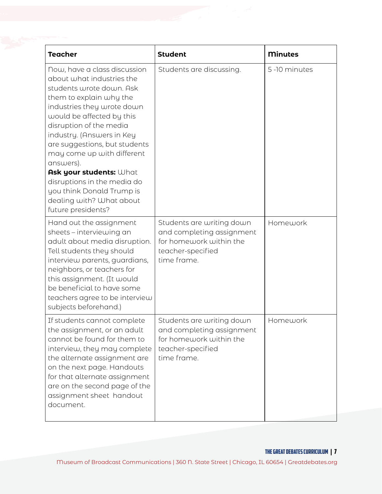| <b>Teacher</b>                                                                                                                                                                                                                                                                                                                                                                                                                                           | <b>Student</b>                                                                                                        | <b>Minutes</b> |
|----------------------------------------------------------------------------------------------------------------------------------------------------------------------------------------------------------------------------------------------------------------------------------------------------------------------------------------------------------------------------------------------------------------------------------------------------------|-----------------------------------------------------------------------------------------------------------------------|----------------|
| Now, have a class discussion<br>about what industries the<br>students wrote down. Ask<br>them to explain why the<br>industries they wrote down<br>would be affected by this<br>disruption of the media<br>industry. (Answers in Key<br>are suggestions, but students<br>may come up with different<br>answers).<br>Ask your students: What<br>disruptions in the media do<br>you think Donald Trump is<br>dealing with? What about<br>future presidents? | Students are discussing.                                                                                              | 5-10 minutes   |
| Hand out the assignment<br>sheets - interviewing an<br>adult about media disruption.<br>Tell students they should<br>interview parents, guardians,<br>neighbors, or teachers for<br>this assignment. (It would<br>be beneficial to have some<br>teachers agree to be interview<br>subjects beforehand.)                                                                                                                                                  | Students are writing down<br>and completing assignment<br>for homework within the<br>teacher-specified<br>time frame. | Homework       |
| If students cannot complete<br>the assignment, or an adult<br>cannot be found for them to<br>interview, they may complete<br>the alternate assignment are<br>on the next page. Handouts<br>for that alternate assignment<br>are on the second page of the<br>assignment sheet handout<br>document.                                                                                                                                                       | Students are writing down<br>and completing assignment<br>for homework within the<br>teacher-specified<br>time frame. | Homework       |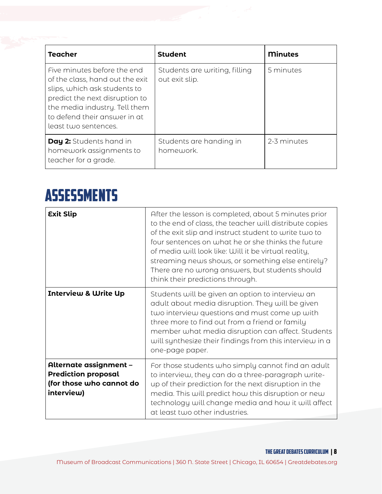| <b>Teacher</b>                                                                                                                                                                                                            | <b>Student</b>                                  | <b>Minutes</b> |
|---------------------------------------------------------------------------------------------------------------------------------------------------------------------------------------------------------------------------|-------------------------------------------------|----------------|
| Five minutes before the end<br>of the class, hand out the exit<br>slips, which ask students to<br>predict the next disruption to<br>the media industry. Tell them<br>to defend their answer in at<br>least two sentences. | Students are writing, filling<br>out exit slip. | 5 minutes      |
| Day 2: Students hand in<br>homework assignments to<br>teacher for a grade.                                                                                                                                                | Students are handing in<br>homework.            | 2-3 minutes    |

# Assessments

| <b>Exit Slip</b>                                                                               | After the lesson is completed, about 5 minutes prior<br>to the end of class, the teacher will distribute copies<br>of the exit slip and instruct student to write two to<br>four sentences on what he or she thinks the future<br>of media will look like: Will it be virtual reality,<br>streaming news shows, or something else entirely?<br>There are no wrong answers, but students should<br>think their predictions through. |
|------------------------------------------------------------------------------------------------|------------------------------------------------------------------------------------------------------------------------------------------------------------------------------------------------------------------------------------------------------------------------------------------------------------------------------------------------------------------------------------------------------------------------------------|
| <b>Interview &amp; Write Up</b>                                                                | Students will be given an option to interview an<br>adult about media disruption. They will be given<br>two interview questions and must come up with<br>three more to find out from a friend or family<br>member what media disruption can affect. Students<br>will synthesize their findings from this interview in a<br>one-page paper.                                                                                         |
| Alternate assignment -<br><b>Prediction proposal</b><br>(for those who cannot do<br>interview) | For those students who simply cannot find an adult<br>to interview, they can do a three-paragraph write-<br>up of their prediction for the next disruption in the<br>media. This will predict how this disruption or new<br>technology will change media and how it will affect<br>at least two other industries.                                                                                                                  |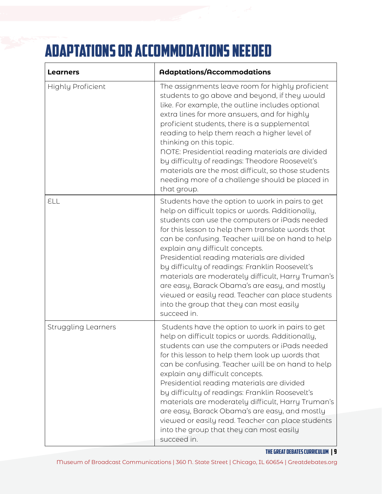# Adaptations or Accommodations needed

| <b>Learners</b>            | <b>Adaptations/Accommodations</b>                                                                                                                                                                                                                                                                                                                                                                                                                                                                                                                                                                                           |
|----------------------------|-----------------------------------------------------------------------------------------------------------------------------------------------------------------------------------------------------------------------------------------------------------------------------------------------------------------------------------------------------------------------------------------------------------------------------------------------------------------------------------------------------------------------------------------------------------------------------------------------------------------------------|
| <b>Highly Proficient</b>   | The assignments leave room for highly proficient<br>students to go above and beyond, if they would<br>like. For example, the outline includes optional<br>extra lines for more answers, and for highly<br>proficient students, there is a supplemental<br>reading to help them reach a higher level of<br>thinking on this topic.<br>NOTE: Presidential reading materials are divided<br>by difficulty of readings: Theodore Roosevelt's<br>materials are the most difficult, so those students<br>needing more of a challenge should be placed in<br>that group.                                                           |
| ELL                        | Students have the option to work in pairs to get<br>help on difficult topics or words. Additionally,<br>students can use the computers or iPads needed<br>for this lesson to help them translate words that<br>can be confusing. Teacher will be on hand to help<br>explain any difficult concepts.<br>Presidential reading materials are divided<br>by difficulty of readings: Franklin Roosevelt's<br>materials are moderately difficult, Harry Truman's<br>are easy, Barack Obama's are easy, and mostly<br>viewed or easily read. Teacher can place students<br>into the group that they can most easily<br>succeed in. |
| <b>Struggling Learners</b> | Students have the option to work in pairs to get<br>help on difficult topics or words. Additionally,<br>students can use the computers or iPads needed<br>for this lesson to help them look up words that<br>can be confusing. Teacher will be on hand to help<br>explain any difficult concepts.<br>Presidential reading materials are divided<br>by difficulty of readings: Franklin Roosevelt's<br>materials are moderately difficult, Harry Truman's<br>are easy, Barack Obama's are easy, and mostly<br>viewed or easily read. Teacher can place students<br>into the group that they can most easily<br>succeed in.   |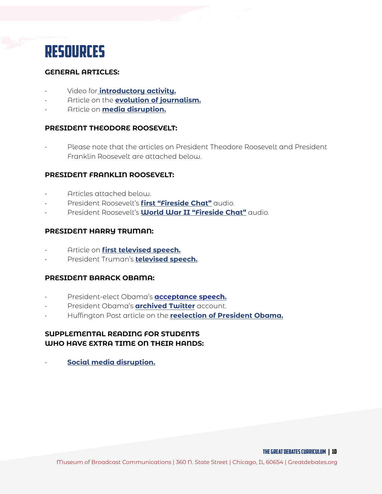

### **GENERAL ARTICLES:**

- Video for **[introductory activity.](https://blog.marketresearch.com/disruption-in-media-and-entertainment)**
- Article on the **[evolution of journalism.](https://www.universalclass.com/articles/writing/journalism-a-brief-history.htm)**
- Article on **[media disruption.](https://courses.lumenlearning.com/americangovernment/chapter/the-evolution-of-the-media/)**

### **PRESIDENT THEODORE ROOSEVELT:**

• Please note that the articles on President Theodore Roosevelt and President Franklin Roosevelt are attached below.

### **PRESIDENT FRANKLIN ROOSEVELT:**

- Articles attached below.
- [President Roosevelt's](https://www.c-span.org/video/?298210-1/president-franklin-roosevelts-fireside-chat) **first "Fireside Chat"** audio.
- President Roosevelt's **[World War II "Fireside Chat"](https://www.youtube.com/watch?v=tiqu3KhCUKc)** audio.

### **PRESIDENT HARRY TRUMAN:**

- Article on **[first televised speech.](https://www.politico.com/story/2017/10/05/first-televised-white-house-address-oct-5-1947-243412)**
- [President Truman's](https://www.c-span.org/video/?3389-1/harry-truman-accepts-1948-democratic-presidential-nomination) **televised speech.**

### **PRESIDENT BARACK OBAMA:**

- [President-elect Obama's](https://www.youtube.com/watch?v=LEo7lzfpdCU) **acceptance speech.**
- [President Obama's](https://twitter.com/potus44?lang=en) **archived Twitter** account.
- [Huffington Post article on the](https://www.huffpost.com/entry/european-reaction-to-us-election_n_2077351) **reelection of President Obama.**

## **SUPPLEMENTAL READING FOR STUDENTS WHO HAVE EXTRA TIME ON THEIR HANDS:**

• **[Social media disruption.](https://www.forbes.com/sites/nicolemartin1/2018/11/30/how-social-media-has-changed-how-we-consume-news/#4ea829813c3c)**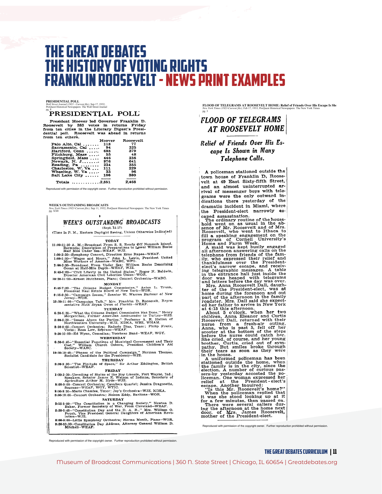# The Great Debates IE HISTORY OF VOTING RIGHTS franklin roosevelt- news print examples

**PRESIDENTIAL POLL**<br>*Wall Street Journal (1923 - Current file);* Sep 17, 1932;<br>ProQuest Historical Newspapers: The Wall Street Journal<br>pg. 8

President Hoover 1 Terare Theorem Pranklin D.<br>Roosevelt by 383 votes in returns Friday<br>from ten cities in the Literary Digest's Presi-<br>dential poll. Roosevelt was ahead in returns<br>from ten others.

| .                    |        |             |
|----------------------|--------|-------------|
|                      | Hoover | Roosevelt   |
| Palo Alto, Cal       | 118    | -77         |
| Sacramento, Cal      | -94    | 325         |
| Hartford, Conn       | 698    | 379         |
| Fitchburg, Mass      | - 55   | 48          |
| Springfield, Mass    | 446    | 238         |
| Newark, N. $J_{1},,$ | 976    | 641         |
| Reading, Pa          | 234    | 355         |
| Charleston, W. Va    | 111    | 229         |
| Wheeling, W. Va      | - 33   | 96          |
| Salt Lake City       | 186    | 380         |
| Totale               | 2851   | <b>7468</b> |

reed with permission of the copyright owner. Further reproduction

**WEEK'S OUTSTANDING BROADCASTS** *New York Times (1923-Current file);* Sep 11, 1932; ProQuest Historical Newspapers: The New York Times pg. XX8

#### WEEK'S OUTSTANDING BROADCASTS

 $(Sept. 11-17)$ (Time Is P. M., Eastern Daylight Saving, Unless Otherwise Indicated)

**TODAY**<br>
11:00-11:30 A. M.-Broadcast From S. S. Ready Off Nonsuch Island,<br>
Bernuda; Description of Preparations to Lower William Beebe<br>
Half Mile Under Sea-WEAF, WJZ.<br>
1:00-2:30-Symphony Concert, Direction Erno Rapee-WEAF

1:00-2:30—Symphony Concert, Direction Erno Rapee–WEAF.<br>1:00-2:30—Symphony Concert, Direction Erno Rapee–WEAF.<br>1:00-1:30—'Wages and Hours," John L. Lewis, President United<br>2:00-2:30—Broadcast From Under Sea: William Beebe D

#### MONDAY

MONDAY<br>
6:45-7:00-"The Citizens Budget Commission," Anton L. Trunk,<br>
President Real Estate Board of New York-WOR.<br>
9:15-9:30--"Campaign Issues," Senator W. Warren Barbour of New<br>
10:30-11:00--"Campaign Talk," Mrs. Franklin

Sentative Ruth Bryan Owen of Florida-WEAF.<br>
6:20-6:30-''What the Citizens Budget Commission Has Done," Henry<br>
Morgenthau, Former American Ambassador to Turkey-WJZ.<br>
8:00-3:20-''Issues Above the Parties," Professor A. R. Ha

WEDNESDAY

## 6:39-6:45-"Essential Functions of Municipal Government and Their<br>Cost," William Church Osborn, Fresident Children's Aid<br>Society--WABC.

10:30-10:45-"Phases of the Political Campaign," Norman Thomas, Socialist Candidate for the Presidency-WJZ.

Socialist Candidate for the Presidency-WJZ.<br>
THURSDAY<br>
9:00-9:30--"The Finitude of Space," Sir Arthur Eddington, British<br>
Scientist-WEAF.<br>
mpp.part

#### FRIDAY

1:80-2:30-Unveiling of Statue of the Boy Lincoln, Fort Wayne, Ind.;<br>Speakers, Senator James E. Watson of Indicns, Secretary of<br>Agriculture Arthur M. Hyde-WJZ.<br>8:00-9:00-Concert Orchestra; Cavaliers Quartet; Jessica Dragone

#### **SATURDAY**

SATURDAY<br>
SATURDAY<br>
2:15-3:00-"The Constitution in a Changing Society," Newton D.<br>
Baker, Former Secretary of War, From Cleveland-WEAF.<br>
5:36-5:45-1"Constitution Day and the D. A. R. " Mrs. William O.<br>
Pouch, Vice Preside

lution-WJZ.<br>
8:00-9:00-Little Symphony Orchestra; Herma Menth, Piano-WOR.<br>
9:30-10:00-Constitution Day Address, Attorney General William D.<br>
Mitchell-WEAF.

**FLOOD OF TELEGRAMS AT ROOSEVELT HOME: Relief of Friends Over His Escape Is Shown Party Conder to the New York Times<br>***New York Times (1923-Current file);* **Feb 17, 1933; ProQuest Historical Newspapers: The New York Times** 

### **FLOOD OF TELEGRAMS** AT ROOSEVELT HOME

pg. 3

#### **Relief of Friends Over His Es**cape Is Shown in Many Telephone Calls.

A policeman stationed outside the town house of Franklin D, Roosevelt at 49 East Sixty-fifth Street, and an almost uninterrupted arrival of messenger boys with telegrams were the only outward indications there yesterday of the dramatic incident in Miami, where the President-elect narrowly es-

dramatic incluent in miami, where<br>the President-elect narrowly estable the President-elect narrowly establed went on as usual in the ab-<br>hold went on as usual in the ab-<br>sence of Mr. Roosevelt and of Mrs.<br>Roosevelt, who we

et a statement was a statement when the two chlodits o'clock, when her two children, Anna Eleanor and Curtis Roosevelt Dall, returned with their nurse from a fresh-air outing, Anna, who is past 5, fell off her before the n

their tears as soon as they were<br>their tears as soon as they were<br>stationed outside the home, when<br>the family is in the city, since the<br>election. A number of curious past-<br>server the election. A number of curious past-<br>ele

produced with permission of the copyright owner. Further reproduction prohibited without permission.

roduced with permission of the copyright owner. Further reproduction prohibited without permission.

#### THE GREAT DEBATES curriculum | 11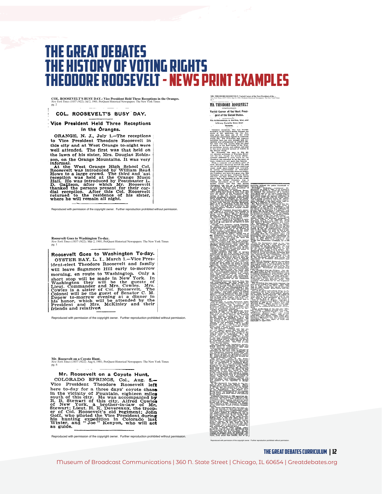# The Great Debates The history of voting rights theodore roosevelt- news print examples

**COL. ROOSEVELT'S BUSY DAY.: Vice President Held Three Receptions in the Oranges.** *New York Times (1857-1922);* Jul 2, 1901; ProQuest Historical Newspapers: The New York Times pg. 2  $\sim$ 

#### COL. ROOSEVELT'S BUSY DAY.

#### Vice President Held Three Receptions in the Oranges.

ORANGE, N. J., July 1.--The receptions<br>to Vice President Theodore Roosevelt in<br>this city and at West Orange to-night were<br>well attended. The first was that held on the lawn of his sister, Mrs. Douglas Robin-

the lawn of his sister, Mrs. Douglas Robinson, on the Orange Mountains. It was very<br>An informal.<br>At the West Orange High School Col.<br>Hoosevelt was introduced by William Read<br>Howe to a large crowd. The third and ast<br>recepti

oduced with permission of the copyright owner. Further reproduction prohibited without permi

**Roosevelt Goes to Washington To-day.**<br>New *York Times (1857-1922); Ma*r 2, 1901; ProQuest Historical Newspapers: The New York Times<br>pg. 1

Roosevelt Goes to Washington To-day. OYSTER BAY, L. I., March 1.-Vice Pres-MOTSTER BAT, L. I., March 1.- Vice Tree<br>ident-elect Theodore Roosevelt and family<br>will leave Sagamore Hill early to-morrow will leave Sagamore Hill early to-morrow<br>morning, en route to Washington. Only a<br>short stop will be made in New York. In<br>Washington they will be the guests of<br>Lieut. Commander and Mrs. Cowles. Mrs.<br>Collection and Mrs. We C

Reproduced with permission of the copyright owner. Further reproduction prohibited without permission.

**Mr. Roosevelt on a Coyote Hunt.**<br>New *York Times (1857-1922); A*ug 6, 1901; ProQuest Historical Newspapers: The New York Times<br>pg. 6

# Mr. Roosevelt on a Coyote Hunt. COLORADO SPRINGS, Col., Aug. 5.-Vice President Theodore Roosevelt left<br>here to-day for a three days' coyote chase<br>in the vicinity of Fountain, eighteen miles<br>south of this city. He was accompanied by<br>R. B. Stewart of this city. Alfred Cowles<br>of New York,

Reproduced with permission of the copyright owner. Further reproduction prohibited without permission.

**MR. THEODORE ROOSEVELT: Varied Career of the Next President of the ...**<br>*New York Times (1857-1922);* Sep 14, 1901; ProQuest Historical Newspapers: The New York Times<br>pg. 2

#### MR. THEODORE ROOSEVELT



Reproduced with permission of the copyright owner. Further reproduction prohibited without permission.

THE GREAT DEBATES curriculum | 12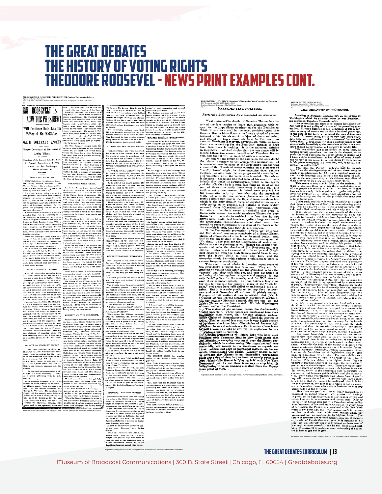# The Great Debates The history of voting rights theodore roosevel- news print examples cont.

**MR. ROOSEVELT IS NOW THE PRESIDENT: Will Continue Unbroken the Policy ...**<br>New York Times (1857-1922); Sep 15, 1901; ProQuest Historical Newspapers: The New York Times<br>*Ne. 1*<br>pg. 1



**OATH SOLENNITY SPOKEN** one at has not friend sponsor in the figure of the signal in the signal of the signal of the signal of the signal of the signal of the signal of the signal of the signal of the signal of the signal

Agreed to the Southern the method in ancheige method in the constraint in the constraint in the southern in the southern in the southern term in the southern term in the southern term in the southern term in the southern

of his carrier as a neuron to "most of the President Roosevelt and ...<br>bosons . With him secan Will- Judge Rassi-and and<br>. however, while the secand state of the secand state of the properties. The<br>asymptotic secretary an

Reproduced with permission of the copyright owner. Further reproduction prohibited without permission.

In<br>the Griene has threes. Then he centre-  $\begin{bmatrix} \text{poly}(r) \\ \text{poly}(r) \end{bmatrix}$  and<br> $\begin{bmatrix} \text{poly}(r) \\ \text{poly}(r) \end{bmatrix}$  and  $\begin{bmatrix} \text{poly}(r) \\ \text{poly}(r) \end{bmatrix}$  and<br> $\begin{bmatrix} \text{poly}(r) \\ \text{poly}(r) \end{bmatrix}$  and  $\begin{bmatrix} \text{poly}(r) \\ \text{poly}(r) \end{bmatrix}$  and<br> $\begin{bmatrix} \text$ **SENATOR HANNA'S APPEARANCE.** 

SENATOR HANNA'S APPEARANCE.<br>The was less than a half hour actor Pre-<br>facet Roosevelt had taken the oath that<br>a carriage drove up to the Wilsox home<br>containing Secarator Mark Hanna and his<br>private secretary. The Senator net TO CONTINUE MORINLEY'S POLICY

3780<br>24 in the simulation in the simulation in the simulation in the simulation for the simulation of the simulation of the simulation of the simulation of the simulation of the simulation of the simulation of the simulat

For a mean-ta source age of the state in the lattice in the lattice state of the state of the state of the state of the state of the state of the state of the state of the state of the state of the state of the state of t

Produced With permission of the copyright owner. Further reproduction production problem to the copyright owner. Further reproduction production production permission. Further reproduction permission permission. President

**PRESIDENTIAL POLITICS.: Roosevelt's Nomination Now Conceded by Everyone.<br>Wall Street Journal (1889-1922); Feb 24, 1904;<br>ProQuest Historical Newspapers: The Wall Street Journal** pg. 2

Roosevelt's Nomination Now Conceded by Everyone.

Washington—The donth of Sanator Haman has re-<br>merced the land of Sanator Haman has re-<br>merced the land of sanatoric distribution for the sand case.<br>While it can be stated in the meat positive derma distribution<br>for the sa

Reproduced with permission of the copyright owner. Further reproduction prohibited without permission.

#### **THE GREATEST OF PROBLEMS.** *Wall Street Journal (1889-1922);* Nov 19, 1903; ProQuest Historical Newspapers: The Wall Street Journal pg. 1

THE GREATEST OF PROBLEMS.

sameling in Absolution 3.4 of **2.0** and 2.6 and 2.6 and 2.6 and 2.8 and 3.4 and 3.4 and 3.4 and 3.4 and 3.4 and 3.4 and 3.4 and 3.4 and 3.4 and 3.4 and 3.4 and 3.4 and 3.4 and 3.4 and 3.4 and 3.4 and 3.4 and 3.4 and 3.4 a

Reproduced with permission of the copyright owner. Further reproduction prohibited without permission.

#### THE GREAT DEBATES curriculum | 13

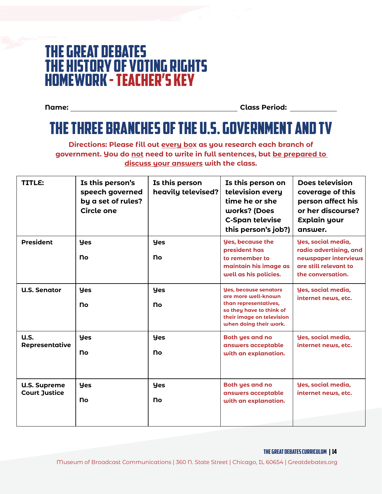# The Great Debates The history of voting rights HOMEWORK - teacher's key

**Name: Class Period:**

# The Three Branches of the U.S. Government and TV

**Directions: Please fill out every box as you research each branch of government. You do not need to write in full sentences, but be prepared to discuss your answers with the class.** 

| TITLE:                                      | Is this person's<br>speech governed<br>by a set of rules?<br>Circle one | Is this person<br>heavily televised? | Is this person on<br>television every<br>time he or she<br>works? (Does<br><b>C-Span televise</b><br>this person's job?)                                        | <b>Does television</b><br>coverage of this<br>person affect his<br>or her discourse?<br>Explain your<br>answer. |
|---------------------------------------------|-------------------------------------------------------------------------|--------------------------------------|-----------------------------------------------------------------------------------------------------------------------------------------------------------------|-----------------------------------------------------------------------------------------------------------------|
| <b>President</b>                            | <b>Yes</b><br>no                                                        | <b>Yes</b><br>no                     | <b>Yes, because the</b><br>president has<br>to remember to                                                                                                      | Yes, social media,<br>radio advertising, and                                                                    |
|                                             |                                                                         |                                      | maintain his image as<br>well as his policies.                                                                                                                  | newspaper interviews<br>are still relevant to<br>the conversation.                                              |
| <b>U.S. Senator</b>                         | <b>yes</b><br>no                                                        | <b>yes</b><br>no                     | <b>Yes, because senators</b><br>are more well-known<br>than representatives,<br>so they have to think of<br>their image on television<br>when doing their work. | Yes, social media,<br>internet news, etc.                                                                       |
| <b>u.s.</b><br>Representative               | <b>Yes</b>                                                              | <b>yes</b>                           | <b>Both yes and no</b><br>answers acceptable                                                                                                                    | Yes, social media,<br>internet news, etc.                                                                       |
|                                             | no                                                                      | no                                   | with an explanation.                                                                                                                                            |                                                                                                                 |
| <b>U.S. Supreme</b><br><b>Court Justice</b> | <b>Yes</b>                                                              | <b>yes</b>                           | <b>Both yes and no</b><br>answers acceptable                                                                                                                    | Yes, social media,<br>internet news, etc.                                                                       |
|                                             | no                                                                      | no                                   | with an explanation.                                                                                                                                            |                                                                                                                 |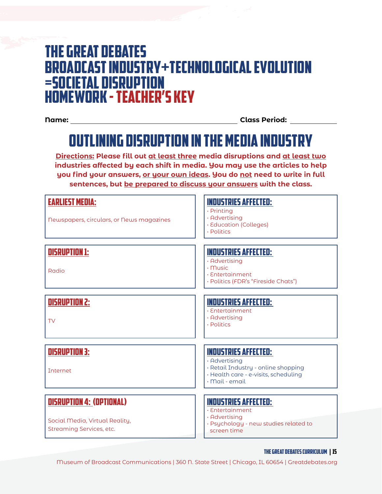# The Great Debates Broadcast Industry+Technological Evolution =Societal Disruption HOMEWORK - teacher's key

**Name: Class Period:**

# Outlining Disruption in the Media Industry

**Directions: Please fill out at least three media disruptions and at least two industries affected by each shift in media. You may use the articles to help you find your answers, or your own ideas. You do not need to write in full sentences, but be prepared to discuss your answers with the class.** 

| <b>EARLIEST MEDIA:</b><br>Newspapers, circulars, or News magazines                            | <b>INDUSTRIES AFFECTED:</b><br>$\cdot$ Printing<br>· Advertising<br>· Education (Colleges)<br>· Politics                                      |
|-----------------------------------------------------------------------------------------------|-----------------------------------------------------------------------------------------------------------------------------------------------|
| <b>DISRUPTION 1:</b><br>Radio                                                                 | <b>INDUSTRIES AFFECTED:</b><br>· Advertising<br>$\cdot$ Music<br>· Entertainment<br>· Politics (FDR's "Fireside Chats")                       |
| <b>DISRUPTION 2:</b><br>TV                                                                    | <b>INDUSTRIES AFFECTED:</b><br>· Entertainment<br>· Advertising<br>· Politics                                                                 |
| <b>DISRUPTION 3:</b><br><b>Tnternet</b>                                                       | <b>INDUSTRIES AFFECTED:</b><br>· Advertising<br>· Retail Industry - online shopping<br>· Health care - e-visits, scheduling<br>· Mail - email |
| <b>DISRUPTION 4: (OPTIONAL)</b><br>Social Media, Virtual Reality,<br>Streaming Services, etc. | <b>INDUSTRIES AFFECTED:</b><br>· Entertainment<br>· Advertising<br>· Psychology - new studies related to<br>screen time                       |

#### THE GREAT DEBATES curriculum | 15